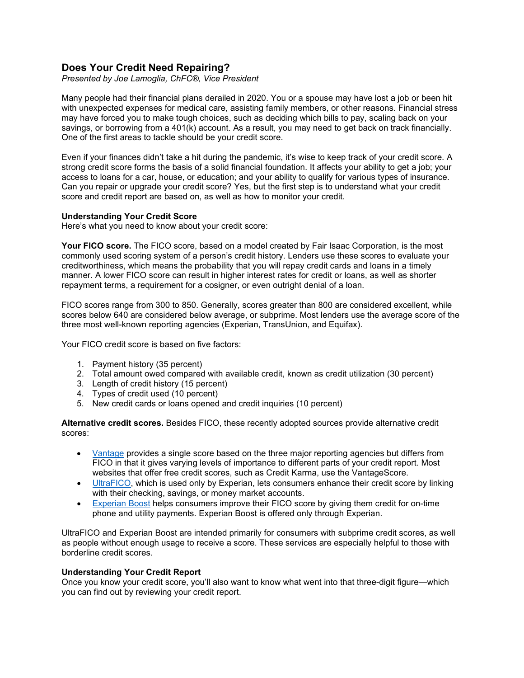# **Does Your Credit Need Repairing?**

*Presented by Joe Lamoglia, ChFC®, Vice President*

Many people had their financial plans derailed in 2020. You or a spouse may have lost a job or been hit with unexpected expenses for medical care, assisting family members, or other reasons. Financial stress may have forced you to make tough choices, such as deciding which bills to pay, scaling back on your savings, or borrowing from a 401(k) account. As a result, you may need to get back on track financially. One of the first areas to tackle should be your credit score.

Even if your finances didn't take a hit during the pandemic, it's wise to keep track of your credit score. A strong credit score forms the basis of a solid financial foundation. It affects your ability to get a job; your access to loans for a car, house, or education; and your ability to qualify for various types of insurance. Can you repair or upgrade your credit score? Yes, but the first step is to understand what your credit score and credit report are based on, as well as how to monitor your credit.

#### **Understanding Your Credit Score**

Here's what you need to know about your credit score:

**Your FICO score.** The FICO score, based on a model created by Fair Isaac Corporation, is the most commonly used scoring system of a person's credit history. Lenders use these scores to evaluate your creditworthiness, which means the probability that you will repay credit cards and loans in a timely manner. A lower FICO score can result in higher interest rates for credit or loans, as well as shorter repayment terms, a requirement for a cosigner, or even outright denial of a loan.

FICO scores range from 300 to 850. Generally, scores greater than 800 are considered excellent, while scores below 640 are considered below average, or subprime. Most lenders use the average score of the three most well-known reporting agencies (Experian, TransUnion, and Equifax).

Your FICO credit score is based on five factors:

- 1. Payment history (35 percent)
- 2. Total amount owed compared with available credit, known as credit utilization (30 percent)
- 3. Length of credit history (15 percent)
- 4. Types of credit used (10 percent)
- 5. New credit cards or loans opened and credit inquiries (10 percent)

**Alternative credit scores.** Besides FICO, these recently adopted sources provide alternative credit scores:

- [Vantage](https://vantagescore.com/) provides a single score based on the three major reporting agencies but differs from FICO in that it gives varying levels of importance to different parts of your credit report. Most websites that offer free credit scores, such as Credit Karma, use the VantageScore.
- [UltraFICO,](https://www.fico.com/ultrafico/) which is used only by Experian, lets consumers enhance their credit score by linking with their checking, savings, or money market accounts.
- [Experian Boost](https://www.experian.com/consumer-products/score-boost.html) helps consumers improve their FICO score by giving them credit for on-time phone and utility payments. Experian Boost is offered only through Experian.

UltraFICO and Experian Boost are intended primarily for consumers with subprime credit scores, as well as people without enough usage to receive a score. These services are especially helpful to those with borderline credit scores.

### **Understanding Your Credit Report**

Once you know your credit score, you'll also want to know what went into that three-digit figure—which you can find out by reviewing your credit report.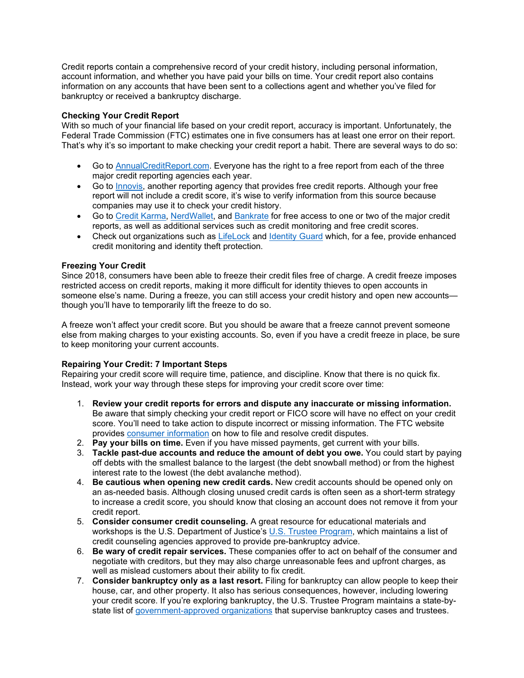Credit reports contain a comprehensive record of your credit history, including personal information, account information, and whether you have paid your bills on time. Your credit report also contains information on any accounts that have been sent to a collections agent and whether you've filed for bankruptcy or received a bankruptcy discharge.

## **Checking Your Credit Report**

With so much of your financial life based on your credit report, accuracy is important. Unfortunately, the Federal Trade Commission (FTC) estimates one in five consumers has at least one error on their report. That's why it's so important to make checking your credit report a habit. There are several ways to do so:

- Go to [AnnualCreditReport.com.](https://www.annualcreditreport.com/index.action) Everyone has the right to a free report from each of the three major credit reporting agencies each year.
- Go to [Innovis,](https://www.innovis.com/) another reporting agency that provides free credit reports. Although your free report will not include a credit score, it's wise to verify information from this source because companies may use it to check your credit history.
- Go to [Credit Karma,](https://www.creditkarma.com/) [NerdWallet,](https://www.nerdwallet.com/) and [Bankrate](https://www.bankrate.com/) for free access to one or two of the major credit reports, as well as additional services such as credit monitoring and free credit scores.
- Check out organizations such as [LifeLock](https://www.lifelock.com/) and [Identity Guard](https://www.identityguard.com/) which, for a fee, provide enhanced credit monitoring and identity theft protection.

## **Freezing Your Credit**

Since 2018, consumers have been able to freeze their credit files free of charge. A credit freeze imposes restricted access on credit reports, making it more difficult for identity thieves to open accounts in someone else's name. During a freeze, you can still access your credit history and open new accounts though you'll have to temporarily lift the freeze to do so.

A freeze won't affect your credit score. But you should be aware that a freeze cannot prevent someone else from making charges to your existing accounts. So, even if you have a credit freeze in place, be sure to keep monitoring your current accounts.

## **Repairing Your Credit: 7 Important Steps**

Repairing your credit score will require time, patience, and discipline. Know that there is no quick fix. Instead, work your way through these steps for improving your credit score over time:

- 1. **Review your credit reports for errors and dispute any inaccurate or missing information.** Be aware that simply checking your credit report or FICO score will have no effect on your credit score. You'll need to take action to dispute incorrect or missing information. The FTC website provides [consumer information](https://www.consumer.ftc.gov/articles/0151-disputing-errors-credit-reports) on how to file and resolve credit disputes.
- 2. **Pay your bills on time.** Even if you have missed payments, get current with your bills.
- 3. **Tackle past-due accounts and reduce the amount of debt you owe.** You could start by paying off debts with the smallest balance to the largest (the debt snowball method) or from the highest interest rate to the lowest (the debt avalanche method).
- 4. **Be cautious when opening new credit cards.** New credit accounts should be opened only on an as-needed basis. Although closing unused credit cards is often seen as a short-term strategy to increase a credit score, you should know that closing an account does not remove it from your credit report.
- 5. **Consider consumer credit counseling.** A great resource for educational materials and workshops is the U.S. Department of Justice's U.S. [Trustee Program,](https://www.justice.gov/ust/credit-counseling-debtor-education-information) which maintains a list of credit counseling agencies approved to provide pre-bankruptcy advice.
- 6. **Be wary of credit repair services.** These companies offer to act on behalf of the consumer and negotiate with creditors, but they may also charge unreasonable fees and upfront charges, as well as mislead customers about their ability to fix credit.
- 7. **Consider bankruptcy only as a last resort.** Filing for bankruptcy can allow people to keep their house, car, and other property. It also has serious consequences, however, including lowering your credit score. If you're exploring bankruptcy, the U.S. Trustee Program maintains a state-bystate list of [government-approved organizations](https://www.justice.gov/ust/bankruptcy-fact-sheets) that supervise bankruptcy cases and trustees.